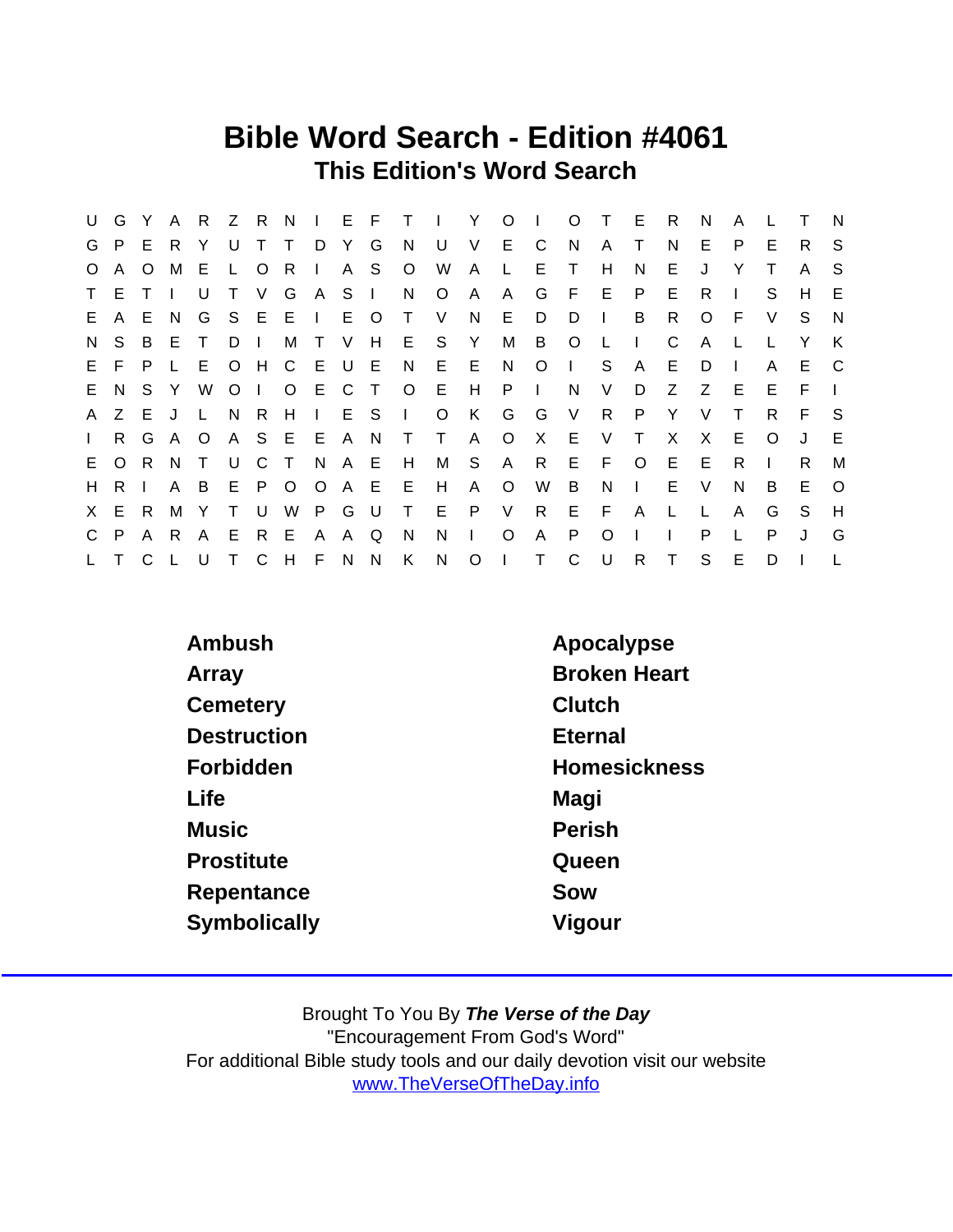## Bible Word Search - Edition #4061 This Edition's Word Search

| U            | G            | Y       | $\mathsf{A}$   |              |                |       |               |          |     |        |                | R Z R N I E F T I Y O I |                |              |                 |              | O T E        |              | $\overline{R}$ | N            | A            |          | Т  | N       |
|--------------|--------------|---------|----------------|--------------|----------------|-------|---------------|----------|-----|--------|----------------|-------------------------|----------------|--------------|-----------------|--------------|--------------|--------------|----------------|--------------|--------------|----------|----|---------|
|              | G P          | E.      | - R            | Y            | U              | T.    | $\top$        | D Y G    |     |        | N.             | U                       | V              | E C          |                 | N.           | A            | Τ            | N.             | E.           | P.           | E        | R. | S.      |
| $\circ$      | $\mathsf{A}$ | $\circ$ | M              | E            |                | L O   | R             | $\Box$   |     | A S    | $\circ$        | W                       | $\mathsf{A}$   | $\mathsf{L}$ | E.              | $\top$       | H            | N            | E.             | J            | Y            |          | A  | -S      |
|              | T E          |         | $\blacksquare$ | U            | $\top$         | V.    | G             | ASI      |     |        | N              | $\circ$                 | A              | A            | G               |              | $F$ E        | P.           | E.             | R.           |              | S.       | H  | E       |
| E.           | A            | E.      | - N            |              |                |       | G S E E I     |          |     | E O    | $\top$         | - V                     | N              | E.           | D               | D            | $\Box$       | B            | R.             | $\circ$      | -F           | V        | S. | N       |
| N.           | S.           | B       | E              | $\top$       | $D \mid$       |       |               | M T      | V H |        |                | E S                     | Y              | M            | B               | $\circ$      | $\mathsf{L}$ | $\Box$       | C              | $\mathsf{A}$ | L.           |          | Y  | K       |
|              | E F          | P.      | $\mathsf{L}$   |              |                |       | E O H C E U E |          |     |        | N              | E E N                   |                |              | $\circ$         | $\mathbf{I}$ | S.           | A            | E.             | D            | $\mathbf{L}$ | A        | E. | C.      |
|              | E N S Y      |         |                | W            | O <sub>1</sub> |       |               | O E C    |     | $\top$ | O E            |                         |                | $H$ $P$      | $\mathbf{I}$    | N.           | V            | D            | Z              | Z            | E            | E.       | F  |         |
| $\mathsf{A}$ | Z E          |         | J.             | $\mathsf{L}$ | N              | R     | H             | $\sim 1$ |     | E S    | $\mathbb{R}^n$ | $\circ$                 | K .            | G            | G               | V            | R.           | P            | Y              | V            | $\top$       | R.       | F. | -S      |
| $\mathbf{L}$ |              | R G A   |                | $\circ$      |                |       | A S E E A N   |          |     |        | $\top$         | $\top$                  | A              | $\circ$      | $\mathsf{X}$    | E.           | V            | $\top$       | $\mathsf{X}$   | $\mathsf{X}$ | E            | $\Omega$ | J  | E       |
| E.           | $\circ$      | - R     | - N            | $\top$       |                | U C T |               | N A E    |     |        | H              | M S                     |                | A            | R               | E F          |              | $\circ$      | E.             | E            | R.           |          | R. | M       |
| H.           | R.           |         | $\mathsf{A}$   | B            |                |       | E P O O       |          |     | A E    | E              | H                       | A              | $\circ$      | W               | B            | N.           | $\Box$       | E.             | V            | N.           | B        | E. | $\circ$ |
|              | X E R        |         | M              | Y            | $\top$         | U     |               | W P G U  |     |        |                | T E                     | P              | V            | $R_{\parallel}$ | E F          |              | $\mathsf{A}$ | $\mathsf{L}$   | L            | A            | G        | S. | H       |
|              | C P          | A R     |                |              | A E            |       | R E A         |          | A Q |        | N              | N                       | $\mathbf{L}$   | $\circ$      | $\mathsf{A}$    | P.           | $\Omega$     |              |                | P            | L            | P        | J  | G       |
| $\mathsf{L}$ |              | C.      | $\mathsf{L}$   | U            |                |       | T C H F N N   |          |     |        | K              | N                       | $\overline{O}$ | $\mathbb{R}$ | $\top$          | C            | U            | R.           | T.             | S            | E            | D        |    |         |

| Ambush             | Apocalypse          |
|--------------------|---------------------|
| Array              | <b>Broken Heart</b> |
| Cemetery           | Clutch              |
| <b>Destruction</b> | <b>Eternal</b>      |
| Forbidden          | Homesickness        |
| Life               | Magi                |
| <b>Music</b>       | Perish              |
| Prostitute         | Queen               |
| Repentance         | Sow                 |
| Symbolically       | Vigour              |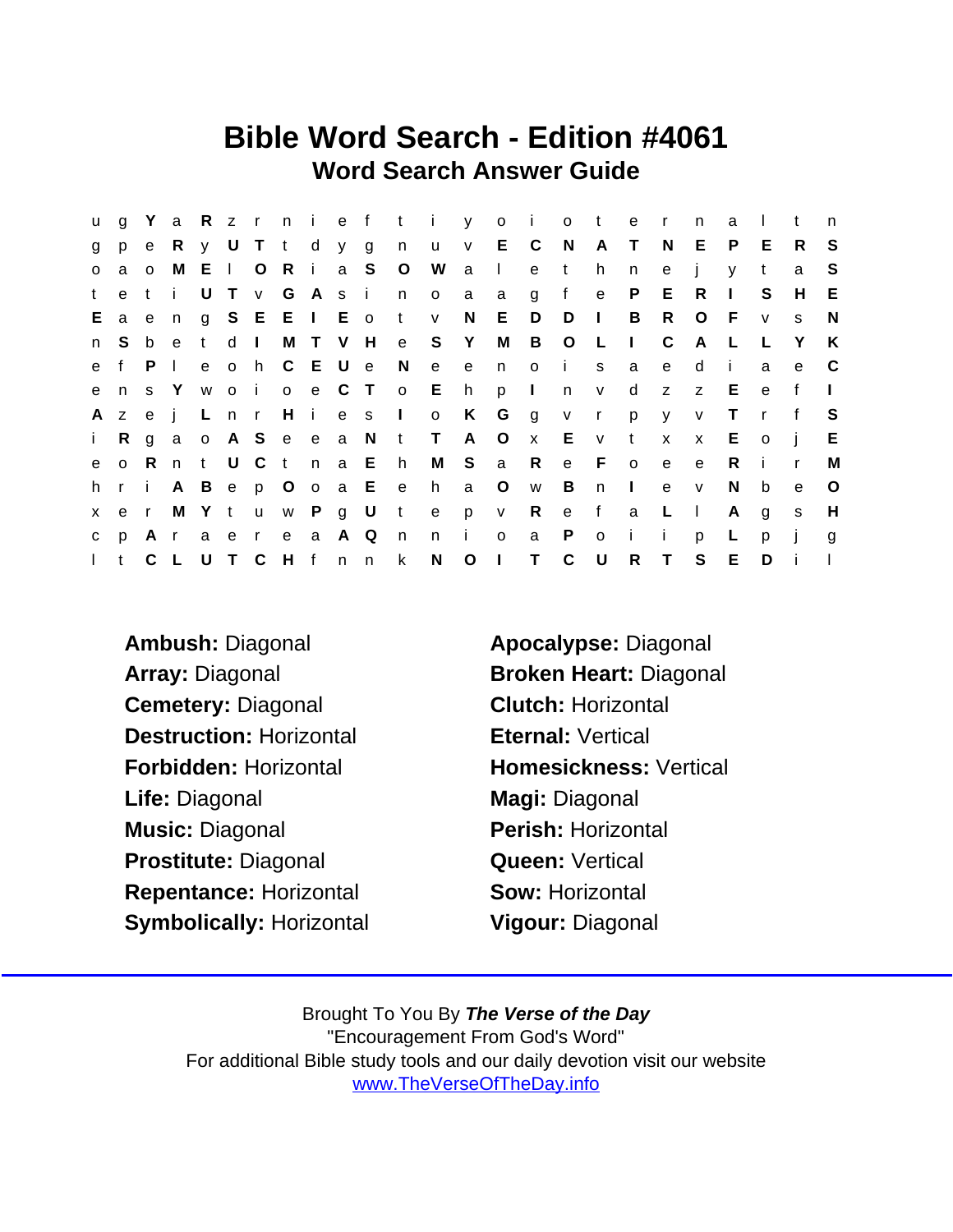## Bible Word Search - Edition #4061 Word Search Answer Guide

| <b>u</b>     |              |             |                |       |                 |  |                  |                   | g Ya Rz r n i e f t i y o i o t e r |                |              |                |                |              |              |              | n              | a            |              | t            | n            |
|--------------|--------------|-------------|----------------|-------|-----------------|--|------------------|-------------------|-------------------------------------|----------------|--------------|----------------|----------------|--------------|--------------|--------------|----------------|--------------|--------------|--------------|--------------|
| g            | p e          |             | R              |       | y U T t d y g   |  |                  | n u               |                                     |                | $V$ E C      |                | N A T          |              |              | N            | E              | P            | E            | R.           | -S           |
| $\circ$      | a            | $\circ$     | M              | E I O | R i a S         |  |                  | $\overline{O}$    | W                                   | a I            |              | e              | $\mathbf{t}$   | h.           | n            | e            |                | V            | t            | a            | S.           |
| t            | e            | ti          |                |       |                 |  | UT v G A s i n   |                   | $\overline{O}$                      | a              | a            | $\mathbf{g}$   | $-f$           | e            | P            | E.           | $\overline{R}$ | $\mathbf{I}$ | S.           | H            | E            |
| Е.           | a e          |             | n              |       |                 |  | g S E E I E o t  |                   | $\mathsf{V}$                        | N.             | E            | D              | $D$ $\vdots$   |              | B            | $\mathsf{R}$ | $\circ$        | - F          | $\mathsf{V}$ | S.           | N            |
| n            | S.           | $\mathbf b$ | e              | t d I |                 |  |                  |                   | M T V H e S Y                       |                | M            |                | B O L          |              | $\sim 1$ .   | C            | A              | −L.          |              | Y            | K            |
|              | e f          | P           | $\mathbb{R}^n$ |       | e o h C E U e   |  |                  | N,                | $\mathbf{e}$                        |                | e n o        |                | - i -          | S            | a a          | $\mathbf{e}$ | d              | j.           | a            | e            | - C          |
|              | ens Y        |             |                |       |                 |  |                  |                   | woi o e C T o E h p                 |                |              | $\sim 1$ .     |                | n v          | d            |              | $Z$ $Z$        | E            | $\mathbf{e}$ | f            | $\mathbf{1}$ |
| A            | Z            | e j         |                | L n r |                 |  | Hies I           |                   | $\circ$                             | K              | G            | $\overline{g}$ | V              | $\mathsf{r}$ | <b>p</b>     | $\mathsf{V}$ | $\mathsf{v}$   | $\top$       | $\mathsf{r}$ | f            | -S           |
| $\mathbf{i}$ |              | R g         |                |       |                 |  |                  | a o A S e e a N t | T                                   | A O            |              | $\mathbf{x}$   | E v            |              | $\mathsf{t}$ | $\mathsf{x}$ | x E            |              | $\circ$      | $\mathbf{i}$ | E.           |
| e            | $\circ$      | - R         |                |       |                 |  | nt U C t n a E h |                   |                                     |                | M S a R      |                |                | e F o        |              | $\mathsf{e}$ | $\mathbf{e}$   | R.           | -i-          | $\mathsf{r}$ | м            |
|              | hri          |             |                |       |                 |  |                  | A B e p O o a E e |                                     | h a O          |              | W              | $\overline{B}$ | n            | $\sim 1$ .   | $\mathbf{e}$ | $\mathbf{V}$   | N.           | b            | e            | $\circ$      |
|              | x e r        |             |                |       | M Y t u w P g U |  |                  | $-t$              | e                                   |                | p v          | $\mathsf{R}$   | e f            |              | a            | $\mathsf{L}$ | $\sim 1$ .     | A            | g            | s            | H            |
| $\mathbf{C}$ | p            |             | Ar             |       | a e r e a A Q   |  |                  | n                 | n                                   | $\mathbf{i}$   | $\mathsf{o}$ | a              | $\mathsf{P}$   | $\circ$      | $\mathbf{i}$ | j.           | p              | L.           | p            | j.           | g            |
| $\mathbf{L}$ | $^{\dagger}$ |             | C L            |       | UTCHfnn         |  |                  | $\mathsf{k}$      | $\mathsf{N}$                        | O <sub>1</sub> |              | $\top$         | $\mathsf{C}$   | – U          | R.           | T            | S              | E            | D            | $\mathbf{I}$ |              |

Ambush: Diagonal **Andrace Apocalypse: Diagonal** Array: Diagonal Broken Heart: Diagonal Cemetery: Diagonal Clutch: Horizontal Destruction: Horizontal **Eternal: Vertical** Forbidden: Horizontal **Homesickness: Vertical** Life: Diagonal Magi: Diagonal Music: Diagonal **Perish: Horizontal** Prostitute: Diagonal **Queen: Vertical** Repentance: Horizontal Sow: Horizontal Symbolically: Horizontal Vigour: Diagonal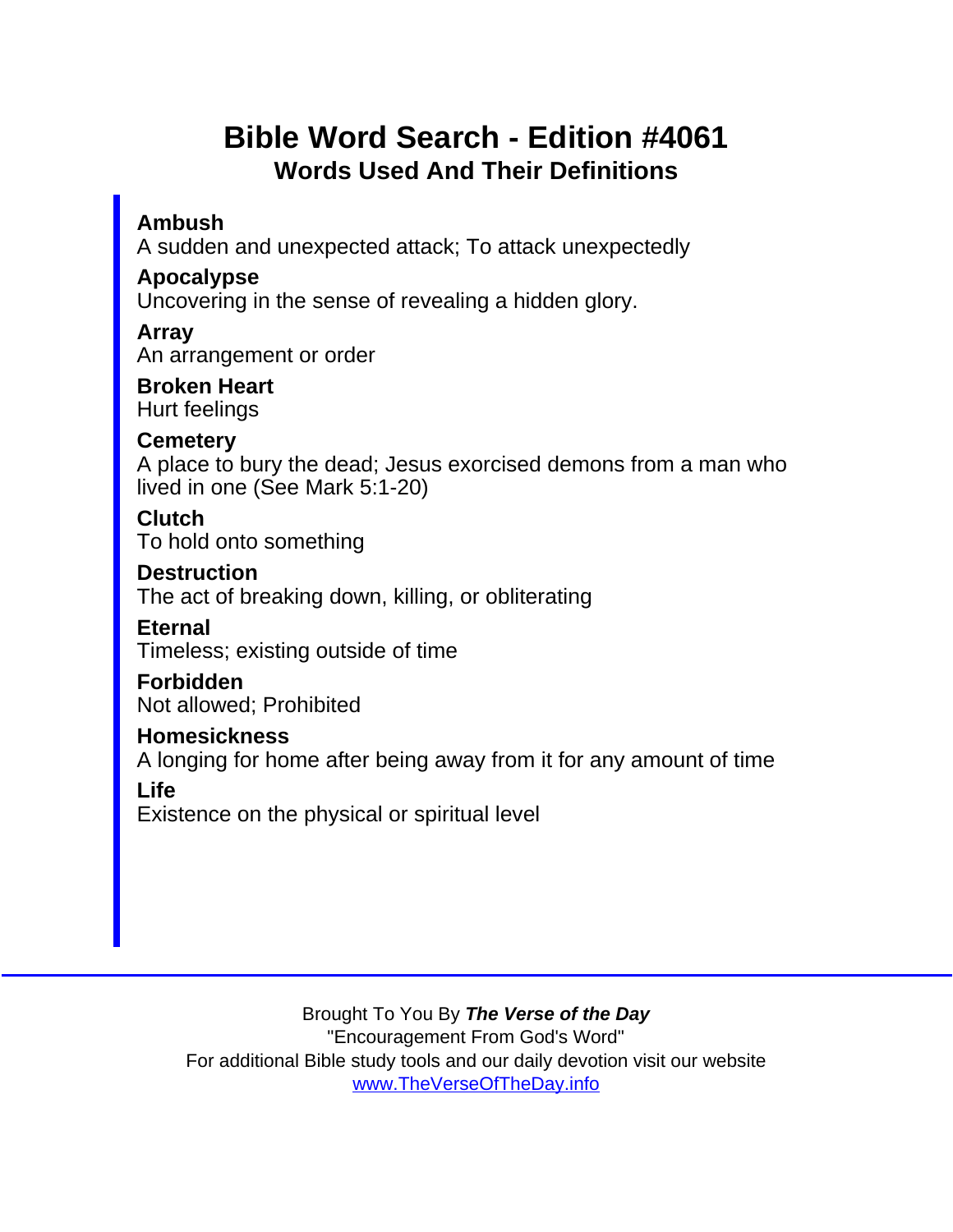## Bible Word Search - Edition #4061 Words Used And Their Definitions

Ambush

A sudden and unexpected attack; To attack unexpectedly

Apocalypse

Uncovering in the sense of revealing a hidden glory.

Array

An arrangement or order

Broken Heart Hurt feelings

**Cemetery** 

A place to bury the dead; Jesus exorcised demons from a man who lived in one (See Mark 5:1-20)

**Clutch** To hold onto something

**Destruction** 

The act of breaking down, killing, or obliterating

Eternal

Timeless; existing outside of time

Forbidden Not allowed; Prohibited

Homesickness

A longing for home after being away from it for any amount of time

Life

Existence on the physical or spiritual level